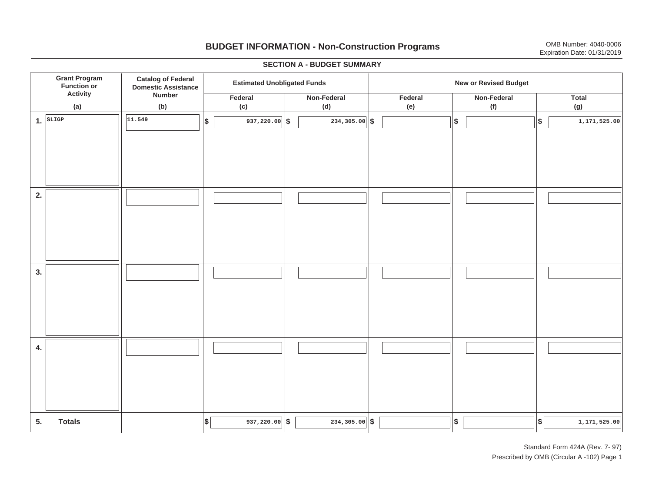# **BUDGET INFORMATION - Non-Construction Programs** OMB Number: 4040-0006 **Expiration Date: 01/31/2019**

**\$ Grant Program Function or Activity (a) Catalog of Federal Domestic Assistance Number (b) Estimated Unobligated Funds New or Revised Budget Federal (c) Non-Federal(d) Federal(e) Non-Federal (f) Total(g) 5. Totals4. 3. 2. 1.SLIGP**. SLIGP || |<sup>11.549</sup> | |\$ | 937,220.00|│\$ | 234,305.00|│\$ | | |\$ | | |\$  $\frac{1}{234,305.00}$  \$ **11.549 937,220.00 234,305.00 1,171,525.00**  $\left| \frac{1}{2}\right|$  **937,220.00**  $\left| \frac{1}{2}\right|$  **234,305.00**  $\left| \frac{1}{2}\right|$  **1,171,525.00** I I I I I I I I I I I I I I I I I I I I I I I I I I I I I I I I I I I I I I I I I I I I 937,220.00 $\|\$$  234,305.00 $\|\$$   $\|$ 

#### **SECTION A - BUDGET SUMMARY**

Standard Form 424A (Rev. 7- 97) Prescribed by OMB (Circular A -102) Page 1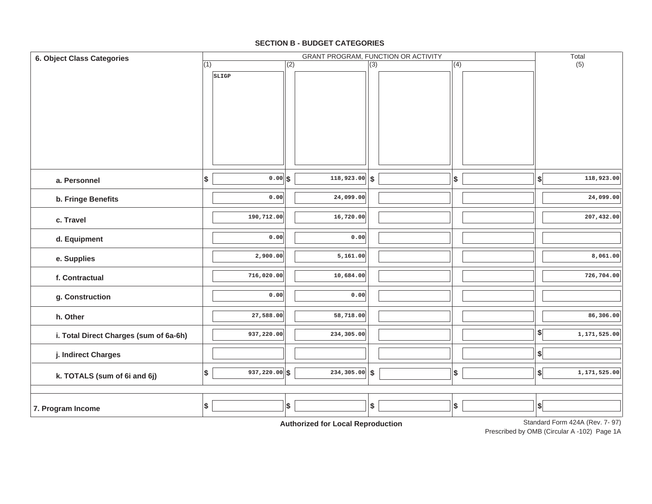### **SECTION B - BUDGET CATEGORIES**

| 6. Object Class Categories             |     |               |     | GRANT PROGRAM, FUNCTION OR ACTIVITY         |                  |                   |                           | Total                           |
|----------------------------------------|-----|---------------|-----|---------------------------------------------|------------------|-------------------|---------------------------|---------------------------------|
|                                        | (1) |               | (2) |                                             | $\overline{(3)}$ | (4)               |                           | (5)                             |
|                                        |     | SLIGP         |     |                                             |                  |                   |                           |                                 |
| a. Personnel                           | \$  | $0.00$ s      |     | $\overline{118,923.00}$ \$                  |                  | $\sqrt{2}$        | $\boldsymbol{\mathsf{s}}$ | 118,923.00                      |
|                                        |     |               |     |                                             |                  |                   |                           |                                 |
| b. Fringe Benefits                     |     | 0.00          |     | 24,099.00                                   |                  |                   |                           | 24,099.00                       |
| c. Travel                              |     | 190,712.00    |     | 16,720.00                                   |                  |                   |                           | 207,432.00                      |
| d. Equipment                           |     | 0.00          |     | 0.00                                        |                  |                   |                           |                                 |
| e. Supplies                            |     | 2,900.00      |     | 5,161.00                                    |                  |                   |                           | 8,061.00                        |
| f. Contractual                         |     | 716,020.00    |     | 10,684.00                                   |                  |                   |                           | 726,704.00                      |
| g. Construction                        |     | 0.00          |     | 0.00                                        |                  |                   |                           |                                 |
| h. Other                               |     | 27,588.00     |     | 58,718.00                                   |                  |                   |                           | 86,306.00                       |
| i. Total Direct Charges (sum of 6a-6h) |     | 937,220.00    |     | 234,305.00                                  |                  |                   | $\frac{1}{2}$             | 1,171,525.00                    |
| j. Indirect Charges                    |     |               |     |                                             |                  |                   | \$                        |                                 |
| k. TOTALS (sum of 6i and 6j)           | \$  | 937,220.00 \$ |     | $234, 305.00$ \$                            |                  | $\boldsymbol{\$}$ | $\boldsymbol{\mathsf{s}}$ | 1,171,525.00                    |
| 7. Program Income                      | \$  |               | \$  | Antibodina di Capiti a sali Diamaggioration | \$               | $\pmb{\$}$        | $\boldsymbol{\$}$         | Standard Form 4244 (Rev. 7, 97) |

**Authorized for Local Reproduction**

Standard Form 424A (Rev. 7- 97)

Prescribed by OMB (Circular A -102) Page 1A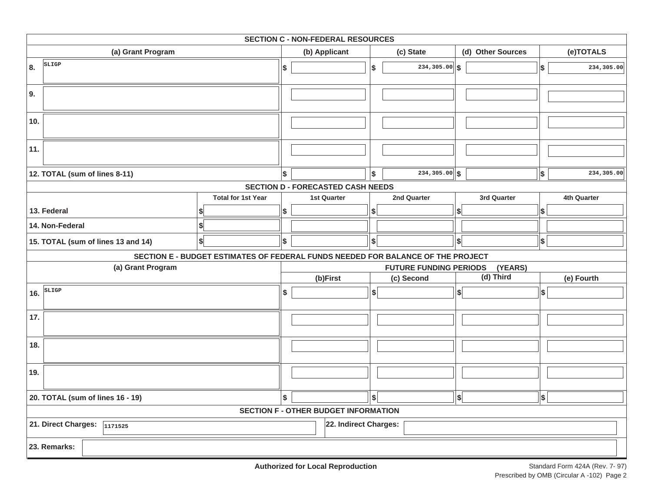|                                      |                                                                                 |     | <b>SECTION C - NON-FEDERAL RESOURCES</b>    |               |                               |                              |            |             |
|--------------------------------------|---------------------------------------------------------------------------------|-----|---------------------------------------------|---------------|-------------------------------|------------------------------|------------|-------------|
| (a) Grant Program                    |                                                                                 |     | (b) Applicant                               |               | (c) State                     | (d) Other Sources            |            | (e)TOTALS   |
| SLIGP<br>8.                          |                                                                                 | \$  |                                             | \$            | $\overline{234,305.00}$ \$    |                              | \$         | 234,305.00  |
| 9.                                   |                                                                                 |     |                                             |               |                               |                              |            |             |
| 10.                                  |                                                                                 |     |                                             |               |                               |                              |            |             |
| 11.                                  |                                                                                 |     |                                             |               |                               |                              |            |             |
| 12. TOTAL (sum of lines 8-11)        |                                                                                 | l\$ |                                             | Ι\$           | $234, 305.00$ \$              |                              | $\vert$ \$ | 234,305.00  |
|                                      |                                                                                 |     | <b>SECTION D - FORECASTED CASH NEEDS</b>    |               |                               |                              |            |             |
|                                      | <b>Total for 1st Year</b>                                                       |     | <b>1st Quarter</b>                          |               | 2nd Quarter                   | 3rd Quarter                  |            | 4th Quarter |
| 13. Federal                          |                                                                                 | \$  |                                             | \$            |                               | S                            | \$         |             |
| 14. Non-Federal                      |                                                                                 |     |                                             |               |                               |                              |            |             |
| 15. TOTAL (sum of lines 13 and 14)   | \$                                                                              | \$  |                                             | \$            |                               | \$                           | $\vert$ \$ |             |
|                                      | SECTION E - BUDGET ESTIMATES OF FEDERAL FUNDS NEEDED FOR BALANCE OF THE PROJECT |     |                                             |               |                               |                              |            |             |
| (a) Grant Program                    |                                                                                 |     |                                             |               | <b>FUTURE FUNDING PERIODS</b> | (YEARS)                      |            |             |
|                                      |                                                                                 |     | (b)First                                    |               | (c) Second                    | $(d)$ Third                  |            | (e) Fourth  |
| SLIGP<br>16.                         |                                                                                 | \$  |                                             | $\frac{1}{2}$ |                               | $\left  \right $             | \$         |             |
| 17.                                  |                                                                                 |     |                                             |               |                               |                              |            |             |
| 18.                                  |                                                                                 |     |                                             |               |                               |                              |            |             |
| 19.                                  |                                                                                 |     |                                             |               |                               |                              |            |             |
| 20. TOTAL (sum of lines 16 - 19)     |                                                                                 | \$  |                                             | \$            |                               | $\left  \frac{1}{2} \right $ | \$         |             |
|                                      |                                                                                 |     | <b>SECTION F - OTHER BUDGET INFORMATION</b> |               |                               |                              |            |             |
| 21. Direct Charges: $\sqrt{1171525}$ | 22. Indirect Charges:                                                           |     |                                             |               |                               |                              |            |             |
| 23. Remarks:                         |                                                                                 |     |                                             |               |                               |                              |            |             |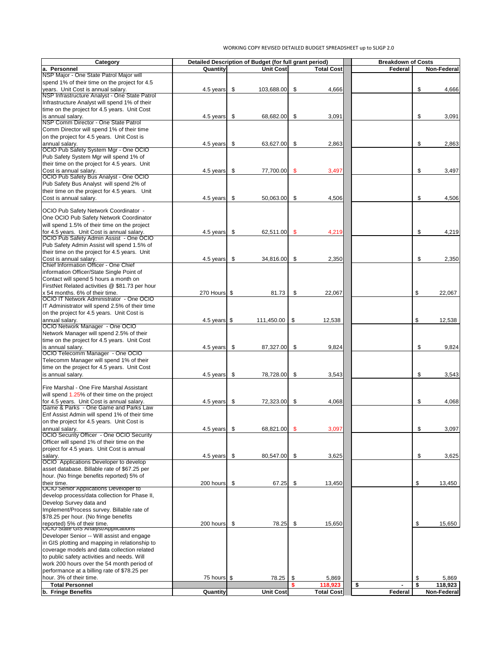| Category                                             |                         |                           | Detailed Description of Budget (for full grant period) |                           |                   | <b>Breakdown of Costs</b> |                            |                    |
|------------------------------------------------------|-------------------------|---------------------------|--------------------------------------------------------|---------------------------|-------------------|---------------------------|----------------------------|--------------------|
| la. Personnel                                        | Quantity                |                           | Unit Cost                                              |                           | <b>Total Cost</b> | <b>Federal</b>            |                            | <b>Non-Federal</b> |
| NSP Major - One State Patrol Major will              |                         |                           |                                                        |                           |                   |                           |                            |                    |
| spend 1% of their time on the project for 4.5        |                         |                           |                                                        |                           |                   |                           |                            |                    |
| years. Unit Cost is annual salary.                   | 4.5 years $\$\$         |                           | 103,688.00                                             | $\boldsymbol{\mathsf{S}}$ | 4,666             |                           | \$                         | 4,666              |
| <b>NSP Infrastructure Analyst - One State Patrol</b> |                         |                           |                                                        |                           |                   |                           |                            |                    |
| Infrastructure Analyst will spend 1% of their        |                         |                           |                                                        |                           |                   |                           |                            |                    |
| time on the project for 4.5 years. Unit Cost         |                         |                           |                                                        |                           |                   |                           |                            |                    |
| is annual salary.                                    | 4.5 years               | $\mathfrak{F}$            | 68,682.00                                              | \$                        | 3,091             |                           | \$                         | 3,091              |
| NSP Comm Director - One State Patrol                 |                         |                           |                                                        |                           |                   |                           |                            |                    |
| Comm Director will spend 1% of their time            |                         |                           |                                                        |                           |                   |                           |                            |                    |
|                                                      |                         |                           |                                                        |                           |                   |                           |                            |                    |
| on the project for 4.5 years. Unit Cost is           |                         |                           |                                                        |                           |                   |                           |                            |                    |
| annual salary.                                       | 4.5 years               | \$                        | 63,627.00                                              | $\mathfrak{S}$            | 2,863             |                           | \$                         | 2,863              |
| OCIO Pub Safety System Mgr - One OCIO                |                         |                           |                                                        |                           |                   |                           |                            |                    |
| Pub Safety System Mgr will spend 1% of               |                         |                           |                                                        |                           |                   |                           |                            |                    |
| their time on the project for 4.5 years. Unit        |                         |                           |                                                        |                           |                   |                           |                            |                    |
| Cost is annual salary.                               | 4.5 years $\frac{1}{3}$ |                           | 77,700.00                                              | $\mathcal{S}$             | 3,497             |                           | \$                         | 3,497              |
| <b>OCIO Pub Safety Bus Analyst - One OCIO</b>        |                         |                           |                                                        |                           |                   |                           |                            |                    |
| Pub Safety Bus Analyst will spend 2% of              |                         |                           |                                                        |                           |                   |                           |                            |                    |
| their time on the project for 4.5 years. Unit        |                         |                           |                                                        |                           |                   |                           |                            |                    |
| Cost is annual salary.                               | 4.5 years               | \$                        | 50,063.00                                              | \$                        | 4,506             |                           | \$                         | 4,506              |
|                                                      |                         |                           |                                                        |                           |                   |                           |                            |                    |
| OCIO Pub Safety Network Coordinator -                |                         |                           |                                                        |                           |                   |                           |                            |                    |
|                                                      |                         |                           |                                                        |                           |                   |                           |                            |                    |
| One OCIO Pub Safety Network Coordinator              |                         |                           |                                                        |                           |                   |                           |                            |                    |
| will spend 1.5% of their time on the project         |                         |                           |                                                        |                           |                   |                           |                            |                    |
| for 4.5 years. Unit Cost is annual salary.           | 4.5 years               | \$                        | 62,511.00                                              | $\mathcal{S}$             | 4,219             |                           | \$                         | 4,219              |
| OCIO Pub Safety Admin Assist - One OCIO              |                         |                           |                                                        |                           |                   |                           |                            |                    |
| Pub Safety Admin Assist will spend 1.5% of           |                         |                           |                                                        |                           |                   |                           |                            |                    |
| their time on the project for 4.5 years. Unit        |                         |                           |                                                        |                           |                   |                           |                            |                    |
| Cost is annual salary.                               | 4.5 years               | \$                        | 34,816.00                                              | \$                        | 2,350             |                           | \$                         | 2,350              |
| Chief Information Officer - One Chief                |                         |                           |                                                        |                           |                   |                           |                            |                    |
| information Officer/State Single Point of            |                         |                           |                                                        |                           |                   |                           |                            |                    |
| Contact will spend 5 hours a month on                |                         |                           |                                                        |                           |                   |                           |                            |                    |
| FirstNet Related activities @ \$81.73 per hour       |                         |                           |                                                        |                           |                   |                           |                            |                    |
|                                                      |                         |                           |                                                        |                           |                   |                           |                            |                    |
| x 54 months. 6% of their time.                       | 270 Hours \$            |                           | 81.73                                                  | $\boldsymbol{\mathsf{S}}$ | 22,067            |                           | $\mathfrak{L}$             | 22,067             |
| <b>OCIO IT Network Administrator - One OCIO</b>      |                         |                           |                                                        |                           |                   |                           |                            |                    |
| IT Administrator will spend 2.5% of their time       |                         |                           |                                                        |                           |                   |                           |                            |                    |
| on the project for 4.5 years. Unit Cost is           |                         |                           |                                                        |                           |                   |                           |                            |                    |
| annual salary.                                       | 4.5 years $\frac{1}{3}$ |                           | 111,450.00                                             | \$                        | 12,538            |                           | $\mathfrak{L}$             | 12,538             |
| <b>OCIO Network Manager - One OCIO</b>               |                         |                           |                                                        |                           |                   |                           |                            |                    |
| Network Manager will spend 2.5% of their             |                         |                           |                                                        |                           |                   |                           |                            |                    |
| time on the project for 4.5 years. Unit Cost         |                         |                           |                                                        |                           |                   |                           |                            |                    |
| is annual salary.                                    | 4.5 years               | \$                        | 87,327.00                                              | \$                        | 9,824             |                           | \$                         | 9,824              |
| OCIO Telecomm Manager - One OCIO                     |                         |                           |                                                        |                           |                   |                           |                            |                    |
|                                                      |                         |                           |                                                        |                           |                   |                           |                            |                    |
| Telecomm Manager will spend 1% of their              |                         |                           |                                                        |                           |                   |                           |                            |                    |
| time on the project for 4.5 years. Unit Cost         |                         |                           |                                                        |                           |                   |                           |                            |                    |
| is annual salary.                                    | 4.5 years               | \$                        | 78,728.00                                              | \$                        | 3,543             |                           | \$                         | 3,543              |
|                                                      |                         |                           |                                                        |                           |                   |                           |                            |                    |
| Fire Marshal - One Fire Marshal Assistant            |                         |                           |                                                        |                           |                   |                           |                            |                    |
| will spend 1.25% of their time on the project        |                         |                           |                                                        |                           |                   |                           |                            |                    |
| for 4.5 years. Unit Cost is annual salary.           | 4.5 years               | \$                        | 72,323.00                                              | \$                        | 4,068             |                           | \$                         | 4,068              |
| Game & Parks - One Game and Parks Law                |                         |                           |                                                        |                           |                   |                           |                            |                    |
| Enf Assist Admin will spend 1% of their time         |                         |                           |                                                        |                           |                   |                           |                            |                    |
| on the project for 4.5 years. Unit Cost is           |                         |                           |                                                        |                           |                   |                           |                            |                    |
| annual salary.                                       | 4.5 years               | \$                        | 68,821.00                                              | $\mathcal{S}$             | 3,097             |                           | \$                         | 3,097              |
| <b>OCIO Security Officer - One OCIO Security</b>     |                         |                           |                                                        |                           |                   |                           |                            |                    |
| Officer will spend 1% of their time on the           |                         |                           |                                                        |                           |                   |                           |                            |                    |
|                                                      |                         |                           |                                                        |                           |                   |                           |                            |                    |
| project for 4.5 years. Unit Cost is annual           |                         |                           |                                                        |                           |                   |                           |                            |                    |
| salary.                                              | 4.5 years               | $\sqrt{3}$                | 80,547.00                                              | $\boldsymbol{\mathsf{S}}$ | 3,625             |                           | \$                         | 3,625              |
| <b>OCIO</b> Applications Developer to develop        |                         |                           |                                                        |                           |                   |                           |                            |                    |
| asset database. Billable rate of \$67.25 per         |                         |                           |                                                        |                           |                   |                           |                            |                    |
| hour. (No fringe benefits reported) 5% of            |                         |                           |                                                        |                           |                   |                           |                            |                    |
| their time.                                          | 200 hours               | \$                        | 67.25                                                  | $\boldsymbol{\mathsf{S}}$ | 13,450            |                           | $\boldsymbol{\mathsf{\$}}$ | 13,450             |
| <b>OCIO Senior Applications Developer to</b>         |                         |                           |                                                        |                           |                   |                           |                            |                    |
| develop process/data collection for Phase II,        |                         |                           |                                                        |                           |                   |                           |                            |                    |
| Develop Survey data and                              |                         |                           |                                                        |                           |                   |                           |                            |                    |
| Implement/Process survey. Billable rate of           |                         |                           |                                                        |                           |                   |                           |                            |                    |
|                                                      |                         |                           |                                                        |                           |                   |                           |                            |                    |
| \$78.25 per hour. (No fringe benefits                |                         |                           |                                                        |                           |                   |                           |                            |                    |
| reported) 5% of their time.                          | 200 hours               | $\boldsymbol{\mathsf{S}}$ | 78.25                                                  | $\boldsymbol{\mathsf{S}}$ | 15,650            |                           | \$                         | 15,650             |
| OCIO State GIS Analyst/Applications                  |                         |                           |                                                        |                           |                   |                           |                            |                    |
| Developer Senior -- Will assist and engage           |                         |                           |                                                        |                           |                   |                           |                            |                    |
| in GIS plotting and mapping in relationship to       |                         |                           |                                                        |                           |                   |                           |                            |                    |
| coverage models and data collection related          |                         |                           |                                                        |                           |                   |                           |                            |                    |
| to public safety activities and needs. Will          |                         |                           |                                                        |                           |                   |                           |                            |                    |
| work 200 hours over the 54 month period of           |                         |                           |                                                        |                           |                   |                           |                            |                    |
| performance at a billing rate of \$78.25 per         |                         |                           |                                                        |                           |                   |                           |                            |                    |
| lhour. 3% of their time.                             | 75 hours \$             |                           | 78.25                                                  | \$                        | 5,869             |                           | \$                         | 5,869              |
| <b>Total Personnel</b>                               |                         |                           |                                                        |                           | 118,923           | \$                        | \$                         |                    |
|                                                      |                         |                           |                                                        |                           |                   |                           |                            | 118,923            |
| b. Fringe Benefits                                   | <b>Quantity</b>         |                           | Unit Cost                                              |                           | <b>Total Cost</b> | <b>Federal</b>            |                            | Non-Federal        |

# WORKING COPY REVISED DETAILED BUDGET SPREADSHEET up to SLIGP 2.0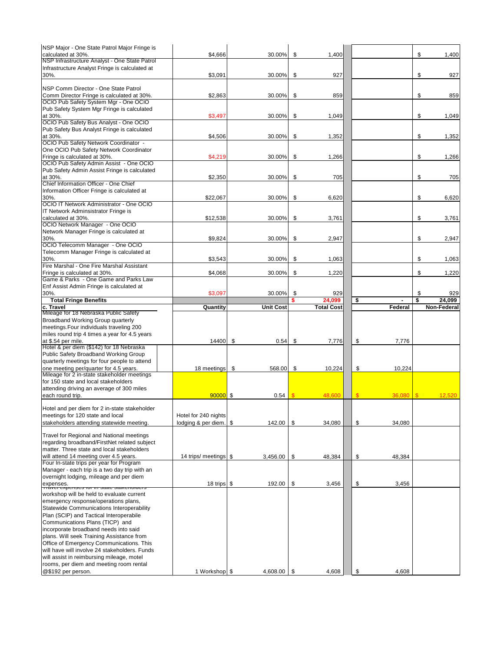| <b>NSP Major - One State Patrol Major Fringe is</b>                                                              |                                   |                        |                            |                   |                           |                |                |                    |
|------------------------------------------------------------------------------------------------------------------|-----------------------------------|------------------------|----------------------------|-------------------|---------------------------|----------------|----------------|--------------------|
| calculated at 30%.                                                                                               | \$4,666                           | 30.00%                 | \$                         | 1,400             |                           |                | \$             | 1,400              |
| NSP Infrastructure Analyst - One State Patrol                                                                    |                                   |                        |                            |                   |                           |                |                |                    |
| Infrastructure Analyst Fringe is calculated at                                                                   |                                   |                        |                            |                   |                           |                |                |                    |
|                                                                                                                  |                                   |                        |                            |                   |                           |                |                |                    |
| 30%.                                                                                                             | \$3,091                           | 30.00%                 | $\$\$                      | 927               |                           |                | $\mathfrak{F}$ | 927                |
|                                                                                                                  |                                   |                        |                            |                   |                           |                |                |                    |
| <b>INSP Comm Director - One State Patrol</b>                                                                     |                                   |                        |                            |                   |                           |                |                |                    |
| Comm Director Fringe is calculated at 30%.                                                                       | \$2,863                           | 30.00%                 | $\mathfrak{P}$             | 859               |                           |                | \$             | 859                |
| <b>OCIO Pub Safety System Mgr - One OCIO</b>                                                                     |                                   |                        |                            |                   |                           |                |                |                    |
| Pub Safety System Mgr Fringe is calculated                                                                       |                                   |                        |                            |                   |                           |                |                |                    |
| at 30%.                                                                                                          | \$3,497                           | 30.00%                 | $\boldsymbol{\mathcal{S}}$ | 1,049             |                           |                | \$             | 1,049              |
| <b>OCIO Pub Safety Bus Analyst - One OCIO</b>                                                                    |                                   |                        |                            |                   |                           |                |                |                    |
|                                                                                                                  |                                   |                        |                            |                   |                           |                |                |                    |
| Pub Safety Bus Analyst Fringe is calculated                                                                      |                                   |                        |                            |                   |                           |                |                |                    |
| at 30%.                                                                                                          | \$4,506                           | 30.00%                 | $\mathfrak{P}$             | 1,352             |                           |                | \$             | 1,352              |
| <b>OCIO Pub Safety Network Coordinator -</b>                                                                     |                                   |                        |                            |                   |                           |                |                |                    |
| One OCIO Pub Safety Network Coordinator                                                                          |                                   |                        |                            |                   |                           |                |                |                    |
| Fringe is calculated at 30%.                                                                                     | \$4,219                           | 30.00%                 | $\boldsymbol{\mathsf{S}}$  | 1,266             |                           |                | \$             | 1,266              |
| <b>OCIO Pub Safety Admin Assist - One OCIO</b>                                                                   |                                   |                        |                            |                   |                           |                |                |                    |
|                                                                                                                  |                                   |                        |                            |                   |                           |                |                |                    |
| Pub Safety Admin Assist Fringe is calculated                                                                     |                                   |                        |                            |                   |                           |                |                |                    |
| at 30%.                                                                                                          | \$2,350                           | 30.00%                 | $\$\$                      | 705               |                           |                | \$             | 705                |
| Chief Information Officer - One Chief                                                                            |                                   |                        |                            |                   |                           |                |                |                    |
| Information Officer Fringe is calculated at                                                                      |                                   |                        |                            |                   |                           |                |                |                    |
| 30%.                                                                                                             | \$22,067                          | 30.00%                 | $\mathfrak{S}$             | 6,620             |                           |                | \$             | 6,620              |
| <b>OCIO IT Network Administrator - One OCIO</b>                                                                  |                                   |                        |                            |                   |                           |                |                |                    |
| IT Network Adminsistrator Fringe is                                                                              |                                   |                        |                            |                   |                           |                |                |                    |
|                                                                                                                  |                                   |                        |                            |                   |                           |                |                |                    |
| calculated at 30%.                                                                                               | \$12,538                          | 30.00%                 | \$                         | 3,761             |                           |                | $\mathfrak{F}$ | 3,761              |
| <b>OCIO Network Manager - One OCIO</b>                                                                           |                                   |                        |                            |                   |                           |                |                |                    |
| Network Manager Fringe is calculated at                                                                          |                                   |                        |                            |                   |                           |                |                |                    |
| 30%.                                                                                                             | \$9,824                           | 30.00%                 | $\mathfrak{P}$             | 2,947             |                           |                | \$             | 2,947              |
| <b>OCIO Telecomm Manager - One OCIO</b>                                                                          |                                   |                        |                            |                   |                           |                |                |                    |
| Telecomm Manager Fringe is calculated at                                                                         |                                   |                        |                            |                   |                           |                |                |                    |
| 30%.                                                                                                             | \$3,543                           | 30.00%                 | $\mathcal{L}$              | 1,063             |                           |                | \$             | 1,063              |
| Fire Marshal - One Fire Marshal Assistant                                                                        |                                   |                        |                            |                   |                           |                |                |                    |
|                                                                                                                  |                                   |                        |                            |                   |                           |                |                |                    |
| Fringe is calculated at 30%.                                                                                     | \$4,068                           | 30.00%                 | $\$\$                      | 1,220             |                           |                | \$             | 1,220              |
| Game & Parks - One Game and Parks Law                                                                            |                                   |                        |                            |                   |                           |                |                |                    |
| Enf Assist Admin Fringe is calculated at                                                                         |                                   |                        |                            |                   |                           |                |                |                    |
| 30%.                                                                                                             | \$3,097                           | 30.00%                 | $\boldsymbol{\mathsf{\$}}$ | 929               |                           |                | \$             | 929                |
| <b>Total Fringe Benefits</b>                                                                                     |                                   |                        |                            | 24,099            | \$                        |                | \$             | 24,099             |
| c. Travel                                                                                                        | Quantity                          | <b>Unit Cost</b>       |                            | <b>Total Cost</b> |                           | <b>Federal</b> |                | <b>Non-Federal</b> |
| Mileage for 18 Nebraska Public Safety                                                                            |                                   |                        |                            |                   |                           |                |                |                    |
|                                                                                                                  |                                   |                        |                            |                   |                           |                |                |                    |
|                                                                                                                  |                                   |                        |                            |                   |                           |                |                |                    |
| <b>Broadband Working Group quarterly</b>                                                                         |                                   |                        |                            |                   |                           |                |                |                    |
| meetings. Four individuals traveling 200                                                                         |                                   |                        |                            |                   |                           |                |                |                    |
| miles round trip 4 times a year for 4.5 years                                                                    |                                   |                        |                            |                   |                           |                |                |                    |
|                                                                                                                  | 14400                             | $\mathfrak{F}$<br>0.54 | \$                         | 7,776             |                           |                |                |                    |
| at \$.54 per mile.                                                                                               |                                   |                        |                            |                   | \$                        | 7,776          |                |                    |
| Hotel & per diem (\$142) for 18 Nebraska                                                                         |                                   |                        |                            |                   |                           |                |                |                    |
| Public Safety Broadband Working Group                                                                            |                                   |                        |                            |                   |                           |                |                |                    |
| quarterly meetings for four people to attend                                                                     |                                   |                        |                            |                   |                           |                |                |                    |
| one meeting per/quarter for 4.5 years.                                                                           | 18 meetings                       | \$<br>568.00           | $\boldsymbol{\mathsf{\$}}$ | 10,224            | \$                        | 10,224         |                |                    |
| Mileage for 2 in-state stakeholder meetings                                                                      |                                   |                        |                            |                   |                           |                |                |                    |
| for 150 state and local stakeholders                                                                             |                                   |                        |                            |                   |                           |                |                |                    |
|                                                                                                                  |                                   |                        |                            |                   |                           |                |                |                    |
| attending driving an average of 300 miles                                                                        |                                   |                        |                            |                   |                           |                | $\mathbb{S}$   |                    |
| each round trip.                                                                                                 | $90000$ \$                        | 0.54                   |                            | 48,600            | $\mathbb{S}$              | 36,080         |                | 12,520             |
|                                                                                                                  |                                   |                        |                            |                   |                           |                |                |                    |
| Hotel and per diem for 2 in-state stakeholder                                                                    |                                   |                        |                            |                   |                           |                |                |                    |
| meetings for 120 state and local                                                                                 | Hotel for 240 nights              |                        |                            |                   |                           |                |                |                    |
| stakeholders attending statewide meeting.                                                                        | lodging & per diem. $\frac{1}{2}$ | 142.00                 | $\boldsymbol{\mathsf{\$}}$ | 34,080            | \$                        | 34,080         |                |                    |
|                                                                                                                  |                                   |                        |                            |                   |                           |                |                |                    |
| <b>Travel for Regional and National meetings</b>                                                                 |                                   |                        |                            |                   |                           |                |                |                    |
|                                                                                                                  |                                   |                        |                            |                   |                           |                |                |                    |
| regarding broadband/FirstNet related subject                                                                     |                                   |                        |                            |                   |                           |                |                |                    |
| matter. Three state and local stakeholders                                                                       |                                   |                        |                            |                   |                           |                |                |                    |
| will attend 14 meeting over 4.5 years.                                                                           | 14 trips/ meetings   \$           | 3,456.00               | \$                         | 48,384            | \$                        | 48,384         |                |                    |
| Four In-state trips per year for Program                                                                         |                                   |                        |                            |                   |                           |                |                |                    |
| Manager - each trip is a two day trip with an                                                                    |                                   |                        |                            |                   |                           |                |                |                    |
| overnight lodging, mileage and per diem                                                                          |                                   |                        |                            |                   |                           |                |                |                    |
|                                                                                                                  | 18 trips $\frac{1}{2}$            |                        |                            |                   |                           |                |                |                    |
| expenses.<br> דו מערון כאשר היו היו פיזישער היו דו היו דו היו דו היו דו היו דו היו דו היו דו היו דו היו דו היו ה |                                   | 192.00                 | \$                         | 3,456             | \$                        | 3,456          |                |                    |
| workshop will be held to evaluate current                                                                        |                                   |                        |                            |                   |                           |                |                |                    |
| emergency response/operations plans,                                                                             |                                   |                        |                            |                   |                           |                |                |                    |
|                                                                                                                  |                                   |                        |                            |                   |                           |                |                |                    |
| <b>Statewide Communications Interoperability</b>                                                                 |                                   |                        |                            |                   |                           |                |                |                    |
| Plan (SCIP) and Tactical Interoperabile                                                                          |                                   |                        |                            |                   |                           |                |                |                    |
| Communications Plans (TICP) and                                                                                  |                                   |                        |                            |                   |                           |                |                |                    |
| incorporate broadband needs into said                                                                            |                                   |                        |                            |                   |                           |                |                |                    |
| plans. Will seek Training Assistance from                                                                        |                                   |                        |                            |                   |                           |                |                |                    |
|                                                                                                                  |                                   |                        |                            |                   |                           |                |                |                    |
| Office of Emergency Communications. This                                                                         |                                   |                        |                            |                   |                           |                |                |                    |
| will have will involve 24 stakeholders. Funds                                                                    |                                   |                        |                            |                   |                           |                |                |                    |
| will assist in reimbursing mileage, motel                                                                        |                                   |                        |                            |                   |                           |                |                |                    |
| rooms, per diem and meeting room rental<br>@\$192 per person.                                                    | 1 Workshop   \$                   | $4,608.00$ \$          |                            | 4,608             | $\boldsymbol{\mathsf{S}}$ | 4,608          |                |                    |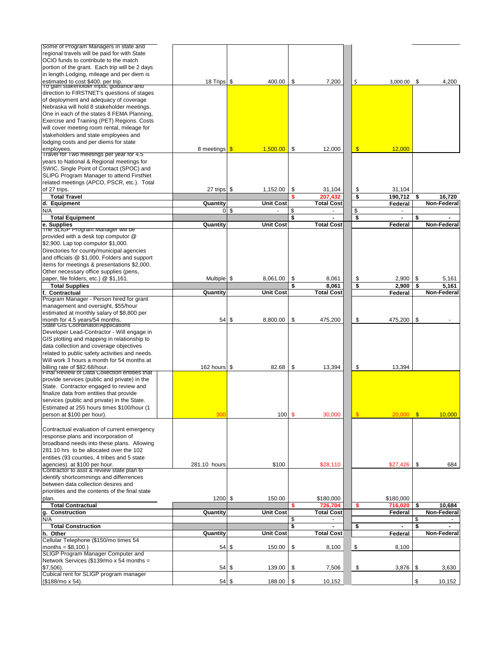| Some of Program Managers in state and                                                     |                         |                     |                            |                                     |                            |                |            |                    |
|-------------------------------------------------------------------------------------------|-------------------------|---------------------|----------------------------|-------------------------------------|----------------------------|----------------|------------|--------------------|
| regional travels will be paid for with State                                              |                         |                     |                            |                                     |                            |                |            |                    |
| OCIO funds to contribute to the match                                                     |                         |                     |                            |                                     |                            |                |            |                    |
| portion of the grant. Each trip will be 2 days                                            |                         |                     |                            |                                     |                            |                |            |                    |
| in length. Lodging, mileage and per diem is                                               | 18 Trips \$             | 400.00              |                            |                                     |                            |                |            |                    |
| estimated to cost \$400. per trip.<br><u>To gain stakenoider imput, guidance and</u>      |                         |                     |                            | \$<br>7,200                         | \$                         | $3,000.00$ \$  |            | 4,200              |
| direction to FIRSTNET's questions of stages                                               |                         |                     |                            |                                     |                            |                |            |                    |
| of deployment and adequacy of coverage                                                    |                         |                     |                            |                                     |                            |                |            |                    |
| Nebraska will hold 8 stakeholder meetings.                                                |                         |                     |                            |                                     |                            |                |            |                    |
| One in each of the states 8 FEMA Planning,                                                |                         |                     |                            |                                     |                            |                |            |                    |
| <b>Exercise and Training (PET) Regions. Costs</b>                                         |                         |                     |                            |                                     |                            |                |            |                    |
| will cover meeting room rental, mileage for                                               |                         |                     |                            |                                     |                            |                |            |                    |
| stakeholders and state employees and                                                      |                         |                     |                            |                                     |                            |                |            |                    |
| lodging costs and per diems for state                                                     |                         |                     |                            |                                     |                            |                |            |                    |
| employees.<br>Travel for Two meetings per year for 4.5                                    | 8 meetings \$           | 1,500.00            | $\boldsymbol{\mathsf{\$}}$ | 12,000                              | $\sqrt[3]{2}$              | 12,000         |            |                    |
| years to National & Regional meetings for                                                 |                         |                     |                            |                                     |                            |                |            |                    |
| SWIC, Single Point of Contact (SPOC) and                                                  |                         |                     |                            |                                     |                            |                |            |                    |
| <b>SLIPG Program Manager to attend FirstNet</b>                                           |                         |                     |                            |                                     |                            |                |            |                    |
| related meetings (APCO, PSCR, etc.). Total                                                |                         |                     |                            |                                     |                            |                |            |                    |
| of 27 trips.                                                                              | 27 trips $$$            | 1,152.00            |                            | \$<br>31,104                        | \$                         | 31,104         |            |                    |
| <b>Total Travel</b>                                                                       |                         |                     |                            | 207,432                             | \$                         | 190,712        | \$         | 16,720             |
| d. Equipment                                                                              | Quantity                | <b>Unit Cost</b>    |                            | <b>Total Cost</b>                   |                            | <b>Federal</b> |            | <b>Non-Federal</b> |
| N/A                                                                                       |                         | $0 \sqrt{3}$        | \$                         |                                     | $\boldsymbol{\theta}$      |                |            |                    |
| <b>Total Equipment</b>                                                                    |                         |                     |                            |                                     | \$                         |                |            |                    |
| e. Supplies                                                                               | Quantity                | <b>Unit Cost</b>    |                            | <b>Total Cost</b>                   |                            | <b>Federal</b> |            | <b>Non-Federal</b> |
| The SLIGP Program Manager will be                                                         |                         |                     |                            |                                     |                            |                |            |                    |
| provided with a desk top computor @                                                       |                         |                     |                            |                                     |                            |                |            |                    |
| \$2,900. Lap top computor \$1,000.                                                        |                         |                     |                            |                                     |                            |                |            |                    |
| Directories for county/municipal agencies<br>and officials @ \$1,000. Folders and support |                         |                     |                            |                                     |                            |                |            |                    |
| items for meetings & presentations \$2,000.                                               |                         |                     |                            |                                     |                            |                |            |                    |
| Other necessary office supplies (pens,                                                    |                         |                     |                            |                                     |                            |                |            |                    |
| paper, file folders, etc.) @ \$1,161.                                                     | Multiple   \$           | 8,061.00            |                            | \$<br>8,061                         | \$                         | 2,900          | \$         | 5,161              |
| <b>Total Supplies</b>                                                                     |                         |                     |                            | 8,061                               | \$                         | 2,900          | S          | 5,161              |
| <b>Contractual</b>                                                                        | Quantity                | <b>Unit Cost</b>    |                            | <b>Total Cost</b>                   |                            | Federal        |            | <b>Non-Federal</b> |
| Program Manager - Person hired for grant                                                  |                         |                     |                            |                                     |                            |                |            |                    |
| management and oversight, \$55/hour                                                       |                         |                     |                            |                                     |                            |                |            |                    |
| estimated at monthly salary of \$8,800 per                                                |                         |                     |                            |                                     |                            |                |            |                    |
| month for 4.5 years/54 months.                                                            |                         | $54$ \$<br>8,800.00 |                            | \$<br>475,200                       | \$                         | 475,200        | \$         |                    |
| State GIS Coordinator/Applications                                                        |                         |                     |                            |                                     |                            |                |            |                    |
| Developer Lead-Contractor - Will engage in<br>GIS plotting and mapping in relationship to |                         |                     |                            |                                     |                            |                |            |                    |
| data collection and coverage objectives                                                   |                         |                     |                            |                                     |                            |                |            |                    |
| related to public safety activities and needs.                                            |                         |                     |                            |                                     |                            |                |            |                    |
| Will work 3 hours a month for 54 months at                                                |                         |                     |                            |                                     |                            |                |            |                    |
| billing rate of \$82.68/hour.                                                             | 162 hours $\frac{1}{3}$ | 82.68               |                            | $\mathfrak{F}$<br>13,394            | $\$\$                      | 13,394         |            |                    |
| Final Review of Data Collection entities that                                             |                         |                     |                            |                                     |                            |                |            |                    |
| provide services (public and private) in the                                              |                         |                     |                            |                                     |                            |                |            |                    |
| State. Contractor engaged to review and                                                   |                         |                     |                            |                                     |                            |                |            |                    |
| finalize data from entities that provide                                                  |                         |                     |                            |                                     |                            |                |            |                    |
| services (public and private) in the State.                                               |                         |                     |                            |                                     |                            |                |            |                    |
| Estimated at 255 hours times \$100/hour (1)                                               |                         |                     |                            |                                     |                            |                |            |                    |
| person at \$100 per hour).                                                                | 300                     |                     | $100$ \$                   | 30,000                              |                            | 20,000         | $\sqrt{3}$ | 10,000             |
|                                                                                           |                         |                     |                            |                                     |                            |                |            |                    |
| Contractual evaluation of current emergency                                               |                         |                     |                            |                                     |                            |                |            |                    |
| response plans and incorporation of                                                       |                         |                     |                            |                                     |                            |                |            |                    |
| broadband needs into these plans. Allowing<br>281.10 hrs to be allocated over the 102     |                         |                     |                            |                                     |                            |                |            |                    |
| entities (93 counties, 4 tribes and 5 state                                               |                         |                     |                            |                                     |                            |                |            |                    |
| agencies) at \$100 per hour.                                                              | 281.10 hours            | \$100               |                            | \$28,110                            |                            | $$27,426$ \\$  |            | 684                |
| Contractor to asst & review state plan to                                                 |                         |                     |                            |                                     |                            |                |            |                    |
| identify shortcommings and differrences                                                   |                         |                     |                            |                                     |                            |                |            |                    |
| between data collection desires and                                                       |                         |                     |                            |                                     |                            |                |            |                    |
| prioriities and the contents of the final state                                           |                         |                     |                            |                                     |                            |                |            |                    |
| plan.                                                                                     | $1200$ \$               | 150.00              |                            | \$180,000                           |                            | \$180,000      |            |                    |
| <b>Total Contractual</b>                                                                  |                         |                     |                            | 726,704                             | \$                         | 716,020        | \$         | 10,684             |
| <b>Construction</b><br><b>g.</b>                                                          | Quantity                | <b>Unit Cost</b>    |                            | <b>Total Cost</b>                   |                            | <b>Federal</b> |            | Non-Federal        |
| N/A                                                                                       |                         |                     |                            | \$                                  |                            |                |            |                    |
| <b>Total Construction</b>                                                                 |                         |                     |                            |                                     | \$                         |                | \$         |                    |
| h. Other<br>Cellular Telephone (\$150/mo times 54                                         | Quantity                | <b>Unit Cost</b>    |                            | <b>Total Cost</b>                   |                            | <b>Federal</b> |            | <b>Non-Federal</b> |
| months = $$8,100.$ )                                                                      | $54$ \$                 | 150.00              |                            | $\boldsymbol{\mathsf{\$}}$<br>8,100 | $\boldsymbol{\mathsf{\$}}$ | 8,100          |            |                    |
| <b>SLIGP Program Manager Computer and</b>                                                 |                         |                     |                            |                                     |                            |                |            |                    |
| Network Services (\$139/mo x 54 months =                                                  |                         |                     |                            |                                     |                            |                |            |                    |
| $$7,506$ ).                                                                               |                         | $54$ \$<br>139.00   |                            | $\boldsymbol{\mathsf{\$}}$<br>7,506 | $\boldsymbol{\mathsf{\$}}$ | 3,876          | $\sqrt{3}$ | 3,630              |
| Cubical rent for SLIGP program manager                                                    |                         |                     |                            |                                     |                            |                |            |                    |
| $($ \$188/mo x 54).                                                                       |                         | $54$ \$<br>188.00   | \$                         | 10,152                              |                            |                | \$         | 10,152             |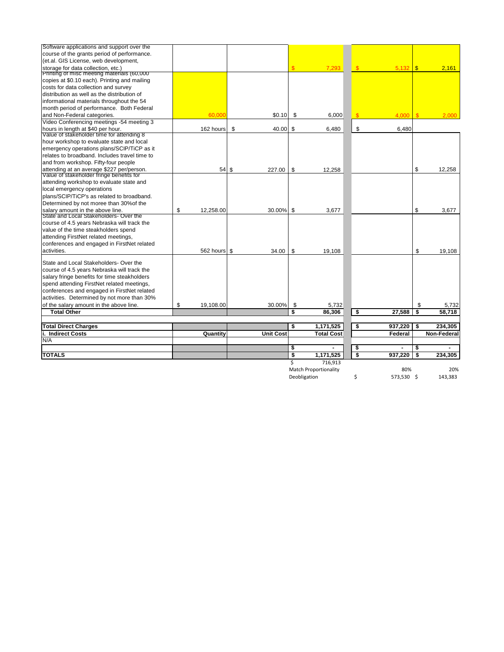| Software applications and support over the    |                 |             |                |                              |                                      |                |                       |                    |
|-----------------------------------------------|-----------------|-------------|----------------|------------------------------|--------------------------------------|----------------|-----------------------|--------------------|
| course of the grants period of performance.   |                 |             |                |                              |                                      |                |                       |                    |
| (et.al. GIS License, web development,         |                 |             |                |                              |                                      |                |                       |                    |
| storage for data collection, etc.)            |                 |             | $\mathfrak{L}$ | 7,293                        | $\sqrt{3}$                           |                |                       | 2,161              |
| Printing of misc meeting materials (60,000    |                 |             |                |                              |                                      |                |                       |                    |
| copies at \$0.10 each). Printing and mailing  |                 |             |                |                              |                                      |                |                       |                    |
| costs for data collection and survey          |                 |             |                |                              |                                      |                |                       |                    |
| Idistribution as well as the distribution of  |                 |             |                |                              |                                      |                |                       |                    |
| informational materials throughout the 54     |                 |             |                |                              |                                      |                |                       |                    |
| month period of performance. Both Federal     |                 |             |                |                              |                                      |                |                       |                    |
| and Non-Federal categories.                   | 60,000          | \$0.10      | \$             | 6,000                        | $\mathcal{S}$                        | $4,000$ \ \$   |                       | 2,000              |
| Video Conferencing meetings -54 meeting 3     |                 |             |                |                              |                                      |                |                       |                    |
| hours in length at \$40 per hour.             | 162 hours       | \$<br>40.00 | \$             | 6,480                        | \$                                   | 6,480          |                       |                    |
| Value of stakeholder time for attending 8     |                 |             |                |                              |                                      |                |                       |                    |
| hour workshop to evaluate state and local     |                 |             |                |                              |                                      |                |                       |                    |
| emergency operations plans/SCIP/TiCP as it    |                 |             |                |                              |                                      |                |                       |                    |
| relates to broadband. Includes travel time to |                 |             |                |                              |                                      |                |                       |                    |
| and from workshop. Fifty-four people          |                 |             |                |                              |                                      |                |                       |                    |
| attending at an average \$227 per/person.     | $54$ \$         | 227.00      | \$             | 12,258                       |                                      |                |                       | 12,258             |
| Value of stakeholder fringe benefits for      |                 |             |                |                              |                                      |                |                       |                    |
| attending workshop to evaluate state and      |                 |             |                |                              |                                      |                |                       |                    |
| local emergency operations                    |                 |             |                |                              |                                      |                |                       |                    |
| plans/SCIP/TiCP's as related to broadband.    |                 |             |                |                              |                                      |                |                       |                    |
| Determined by not moree than 30% of the       |                 |             |                |                              |                                      |                |                       |                    |
| salary amount in the above line.              | \$<br>12,258.00 | 30.00%      | $\sqrt[6]{3}$  | 3,677                        |                                      |                | \$                    | 3,677              |
| State and Local Stakeholders- Over the        |                 |             |                |                              |                                      |                |                       |                    |
| course of 4.5 years Nebraska will track the   |                 |             |                |                              |                                      |                |                       |                    |
| value of the time steakholders spend          |                 |             |                |                              |                                      |                |                       |                    |
| attending FirstNet related meetings,          |                 |             |                |                              |                                      |                |                       |                    |
| conferences and engaged in FirstNet related   |                 |             |                |                              |                                      |                |                       |                    |
| activities.                                   | 562 hours \$    | 34.00       | -\$            | 19,108                       |                                      |                | $\boldsymbol{\theta}$ | 19,108             |
| State and Local Stakeholders- Over the        |                 |             |                |                              |                                      |                |                       |                    |
| course of 4.5 years Nebraska will track the   |                 |             |                |                              |                                      |                |                       |                    |
| salary fringe benefits for time steakholders  |                 |             |                |                              |                                      |                |                       |                    |
| spend attending FirstNet related meetings,    |                 |             |                |                              |                                      |                |                       |                    |
| conferences and engaged in FirstNet related   |                 |             |                |                              |                                      |                |                       |                    |
| activities. Determined by not more than 30%   |                 |             |                |                              |                                      |                |                       |                    |
| of the salary amount in the above line.       | \$<br>19,108.00 | 30.00%      | \$             | 5,732                        |                                      |                | \$                    | 5,732              |
| <b>Total Other</b>                            |                 |             | \$             | 86,306                       | \$                                   | 27,588         | \$                    | 58,718             |
|                                               |                 |             |                |                              |                                      |                |                       |                    |
| <b>Total Direct Charges</b>                   |                 |             | \$             | 1,171,525                    | \$                                   | $937,220$ \$   |                       | 234,305            |
| li. Indirect Costs                            | <b>Quantity</b> | Unit Cost   |                | <b>Total Cost</b>            |                                      | <b>Federal</b> |                       | <b>Non-Federal</b> |
| N/A                                           |                 |             |                |                              |                                      |                |                       |                    |
|                                               |                 |             | \$             |                              | \$                                   | $\blacksquare$ | \$                    |                    |
| <b>TOTALS</b>                                 |                 |             | \$             | 1,171,525                    | $\overline{\boldsymbol{\mathsf{s}}}$ | 937,220        | \$                    | 234,305            |
|                                               |                 |             | Ś.             | 716,913                      |                                      |                |                       |                    |
|                                               |                 |             |                | <b>Match Proportionality</b> |                                      | 80%            |                       | 20%                |
|                                               |                 |             |                | Deobligation                 | \$                                   | 573,530 \$     |                       | 143,383            |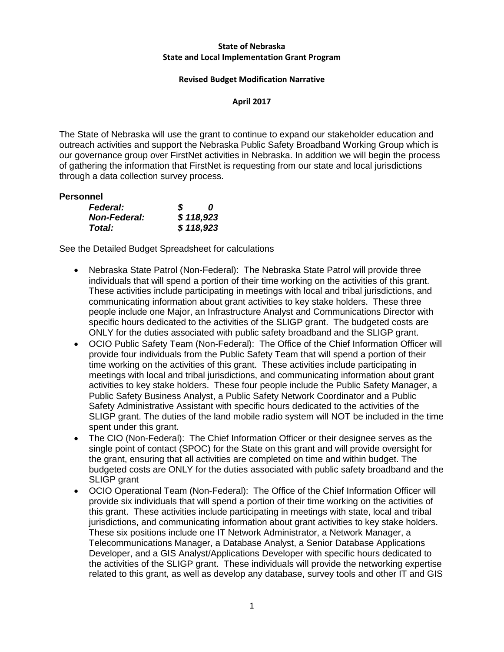# **State of Nebraska State and Local Implementation Grant Program**

### **Revised Budget Modification Narrative**

### **April 2017**

The State of Nebraska will use the grant to continue to expand our stakeholder education and outreach activities and support the Nebraska Public Safety Broadband Working Group which is our governance group over FirstNet activities in Nebraska. In addition we will begin the process of gathering the information that FirstNet is requesting from our state and local jurisdictions through a data collection survey process.

### **Personnel**

| <b>Federal:</b>     | S | n         |
|---------------------|---|-----------|
| <b>Non-Federal:</b> |   | \$118,923 |
| Total:              |   | \$118,923 |

- Nebraska State Patrol (Non-Federal): The Nebraska State Patrol will provide three individuals that will spend a portion of their time working on the activities of this grant. These activities include participating in meetings with local and tribal jurisdictions, and communicating information about grant activities to key stake holders. These three people include one Major, an Infrastructure Analyst and Communications Director with specific hours dedicated to the activities of the SLIGP grant. The budgeted costs are ONLY for the duties associated with public safety broadband and the SLIGP grant.
- OCIO Public Safety Team (Non-Federal): The Office of the Chief Information Officer will provide four individuals from the Public Safety Team that will spend a portion of their time working on the activities of this grant. These activities include participating in meetings with local and tribal jurisdictions, and communicating information about grant activities to key stake holders. These four people include the Public Safety Manager, a Public Safety Business Analyst, a Public Safety Network Coordinator and a Public Safety Administrative Assistant with specific hours dedicated to the activities of the SLIGP grant. The duties of the land mobile radio system will NOT be included in the time spent under this grant.
- The CIO (Non-Federal): The Chief Information Officer or their designee serves as the single point of contact (SPOC) for the State on this grant and will provide oversight for the grant, ensuring that all activities are completed on time and within budget. The budgeted costs are ONLY for the duties associated with public safety broadband and the SLIGP grant
- OCIO Operational Team (Non-Federal): The Office of the Chief Information Officer will provide six individuals that will spend a portion of their time working on the activities of this grant. These activities include participating in meetings with state, local and tribal jurisdictions, and communicating information about grant activities to key stake holders. These six positions include one IT Network Administrator, a Network Manager, a Telecommunications Manager, a Database Analyst, a Senior Database Applications Developer, and a GIS Analyst/Applications Developer with specific hours dedicated to the activities of the SLIGP grant. These individuals will provide the networking expertise related to this grant, as well as develop any database, survey tools and other IT and GIS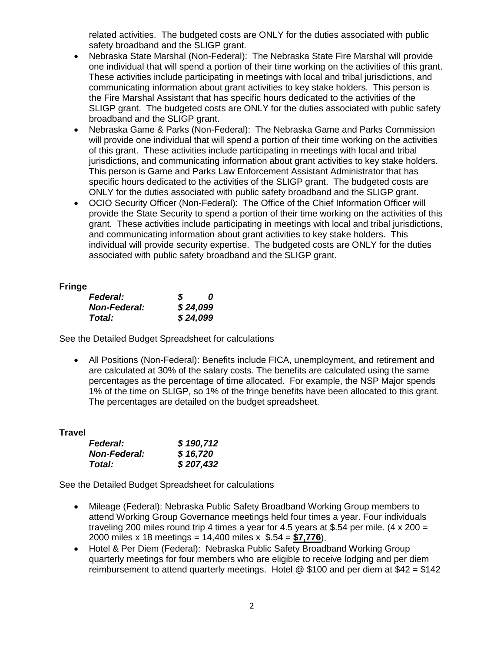related activities. The budgeted costs are ONLY for the duties associated with public safety broadband and the SLIGP grant.

- Nebraska State Marshal (Non-Federal): The Nebraska State Fire Marshal will provide one individual that will spend a portion of their time working on the activities of this grant. These activities include participating in meetings with local and tribal jurisdictions, and communicating information about grant activities to key stake holders. This person is the Fire Marshal Assistant that has specific hours dedicated to the activities of the SLIGP grant. The budgeted costs are ONLY for the duties associated with public safety broadband and the SLIGP grant.
- Nebraska Game & Parks (Non-Federal): The Nebraska Game and Parks Commission will provide one individual that will spend a portion of their time working on the activities of this grant. These activities include participating in meetings with local and tribal jurisdictions, and communicating information about grant activities to key stake holders. This person is Game and Parks Law Enforcement Assistant Administrator that has specific hours dedicated to the activities of the SLIGP grant. The budgeted costs are ONLY for the duties associated with public safety broadband and the SLIGP grant.
- OCIO Security Officer (Non-Federal): The Office of the Chief Information Officer will provide the State Security to spend a portion of their time working on the activities of this grant. These activities include participating in meetings with local and tribal jurisdictions, and communicating information about grant activities to key stake holders. This individual will provide security expertise. The budgeted costs are ONLY for the duties associated with public safety broadband and the SLIGP grant.

# **Fringe**

| <b>Federal:</b>     | S | 0        |
|---------------------|---|----------|
| <b>Non-Federal:</b> |   | \$24,099 |
| Total:              |   | \$24,099 |

See the Detailed Budget Spreadsheet for calculations

• All Positions (Non-Federal): Benefits include FICA, unemployment, and retirement and are calculated at 30% of the salary costs. The benefits are calculated using the same percentages as the percentage of time allocated. For example, the NSP Major spends 1% of the time on SLIGP, so 1% of the fringe benefits have been allocated to this grant. The percentages are detailed on the budget spreadsheet.

# **Travel**

| <b>Federal:</b>     | \$190,712 |
|---------------------|-----------|
| <b>Non-Federal:</b> | \$16,720  |
| Total:              | \$207,432 |

- Mileage (Federal): Nebraska Public Safety Broadband Working Group members to attend Working Group Governance meetings held four times a year. Four individuals traveling 200 miles round trip 4 times a year for 4.5 years at \$.54 per mile.  $(4 \times 200 =$ 2000 miles x 18 meetings = 14,400 miles x \$.54 = **\$7,776**).
- Hotel & Per Diem (Federal): Nebraska Public Safety Broadband Working Group quarterly meetings for four members who are eligible to receive lodging and per diem reimbursement to attend quarterly meetings. Hotel  $\textcircled{ }$  \$100 and per diem at \$42 = \$142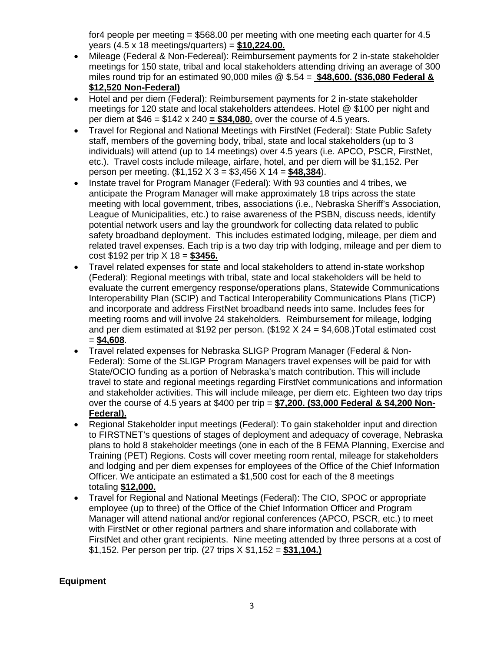for4 people per meeting = \$568.00 per meeting with one meeting each quarter for 4.5 years (4.5 x 18 meetings/quarters) = **\$10,224.00.**

- Mileage (Federal & Non-Federeal): Reimbursement payments for 2 in-state stakeholder meetings for 150 state, tribal and local stakeholders attending driving an average of 300 miles round trip for an estimated 90,000 miles @ \$.54 = **\$48,600. (\$36,080 Federal & \$12,520 Non-Federal)**
- Hotel and per diem (Federal): Reimbursement payments for 2 in-state stakeholder meetings for 120 state and local stakeholders attendees. Hotel @ \$100 per night and per diem at \$46 = \$142 x 240 **= \$34,080.** over the course of 4.5 years.
- Travel for Regional and National Meetings with FirstNet (Federal): State Public Safety staff, members of the governing body, tribal, state and local stakeholders (up to 3 individuals) will attend (up to 14 meetings) over 4.5 years (i.e. APCO, PSCR, FirstNet, etc.). Travel costs include mileage, airfare, hotel, and per diem will be \$1,152. Per person per meeting. (\$1,152 X 3 = \$3,456 X 14 = **\$48,384**).
- Instate travel for Program Manager (Federal): With 93 counties and 4 tribes, we anticipate the Program Manager will make approximately 18 trips across the state meeting with local government, tribes, associations (i.e., Nebraska Sheriff's Association, League of Municipalities, etc.) to raise awareness of the PSBN, discuss needs, identify potential network users and lay the groundwork for collecting data related to public safety broadband deployment. This includes estimated lodging, mileage, per diem and related travel expenses. Each trip is a two day trip with lodging, mileage and per diem to cost \$192 per trip X 18 = **\$3456.**
- Travel related expenses for state and local stakeholders to attend in-state workshop (Federal): Regional meetings with tribal, state and local stakeholders will be held to evaluate the current emergency response/operations plans, Statewide Communications Interoperability Plan (SCIP) and Tactical Interoperability Communications Plans (TiCP) and incorporate and address FirstNet broadband needs into same. Includes fees for meeting rooms and will involve 24 stakeholders. Reimbursement for mileage, lodging and per diem estimated at \$192 per person. (\$192 X 24 = \$4,608.)Total estimated cost = **\$4,608**.
- Travel related expenses for Nebraska SLIGP Program Manager (Federal & Non-Federal): Some of the SLIGP Program Managers travel expenses will be paid for with State/OCIO funding as a portion of Nebraska's match contribution. This will include travel to state and regional meetings regarding FirstNet communications and information and stakeholder activities. This will include mileage, per diem etc. Eighteen two day trips over the course of 4.5 years at \$400 per trip = **\$7,200. (\$3,000 Federal & \$4,200 Non-Federal).**
- Regional Stakeholder input meetings (Federal): To gain stakeholder input and direction to FIRSTNET's questions of stages of deployment and adequacy of coverage, Nebraska plans to hold 8 stakeholder meetings (one in each of the 8 FEMA Planning, Exercise and Training (PET) Regions. Costs will cover meeting room rental, mileage for stakeholders and lodging and per diem expenses for employees of the Office of the Chief Information Officer. We anticipate an estimated a \$1,500 cost for each of the 8 meetings totaling **\$12,000.**
- Travel for Regional and National Meetings (Federal): The CIO, SPOC or appropriate employee (up to three) of the Office of the Chief Information Officer and Program Manager will attend national and/or regional conferences (APCO, PSCR, etc.) to meet with FirstNet or other regional partners and share information and collaborate with FirstNet and other grant recipients. Nine meeting attended by three persons at a cost of \$1,152. Per person per trip. (27 trips X \$1,152 = **\$31,104.)**

# **Equipment**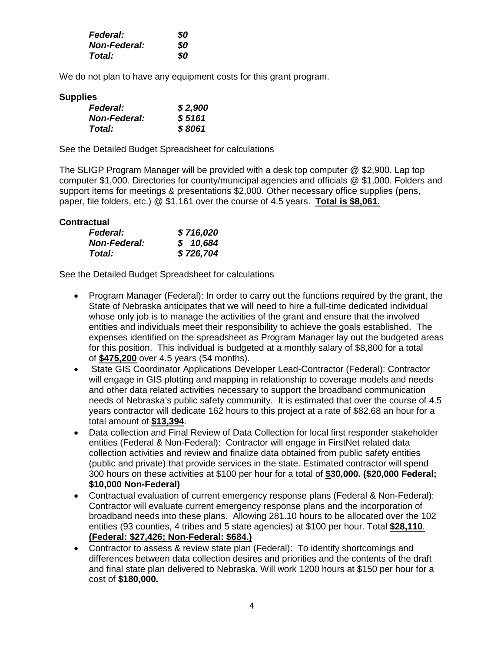| <b>Federal:</b>     | 80 |
|---------------------|----|
| <b>Non-Federal:</b> | 80 |
| <b>Total:</b>       | 80 |

We do not plan to have any equipment costs for this grant program.

### **Supplies**

| <b>Federal:</b>     | \$2,900 |
|---------------------|---------|
| <b>Non-Federal:</b> | \$5161  |
| Total:              | \$8061  |

See the Detailed Budget Spreadsheet for calculations

The SLIGP Program Manager will be provided with a desk top computer @ \$2,900. Lap top computer \$1,000. Directories for county/municipal agencies and officials @ \$1,000. Folders and support items for meetings & presentations \$2,000. Other necessary office supplies (pens, paper, file folders, etc.) @ \$1,161 over the course of 4.5 years. **Total is \$8,061.**

# **Contractual**

| <b>Federal:</b>     | \$716,020 |
|---------------------|-----------|
| <b>Non-Federal:</b> | \$10,684  |
| Total:              | \$726,704 |

- Program Manager (Federal): In order to carry out the functions required by the grant, the State of Nebraska anticipates that we will need to hire a full-time dedicated individual whose only job is to manage the activities of the grant and ensure that the involved entities and individuals meet their responsibility to achieve the goals established. The expenses identified on the spreadsheet as Program Manager lay out the budgeted areas for this position. This individual is budgeted at a monthly salary of \$8,800 for a total of **\$475,200** over 4.5 years (54 months).
- State GIS Coordinator Applications Developer Lead-Contractor (Federal): Contractor will engage in GIS plotting and mapping in relationship to coverage models and needs and other data related activities necessary to support the broadband communication needs of Nebraska's public safety community. It is estimated that over the course of 4.5 years contractor will dedicate 162 hours to this project at a rate of \$82.68 an hour for a total amount of **\$13,394**.
- Data collection and Final Review of Data Collection for local first responder stakeholder entities (Federal & Non-Federal): Contractor will engage in FirstNet related data collection activities and review and finalize data obtained from public safety entities (public and private) that provide services in the state. Estimated contractor will spend 300 hours on these activities at \$100 per hour for a total of **\$30,000. (\$20,000 Federal; \$10,000 Non-Federal)**
- Contractual evaluation of current emergency response plans (Federal & Non-Federal): Contractor will evaluate current emergency response plans and the incorporation of broadband needs into these plans. Allowing 281.10 hours to be allocated over the 102 entities (93 counties, 4 tribes and 5 state agencies) at \$100 per hour. Total **\$28,110**. **(Federal: \$27,426; Non-Federal: \$684.)**
- Contractor to assess & review state plan (Federal): To identify shortcomings and differences between data collection desires and priorities and the contents of the draft and final state plan delivered to Nebraska. Will work 1200 hours at \$150 per hour for a cost of **\$180,000.**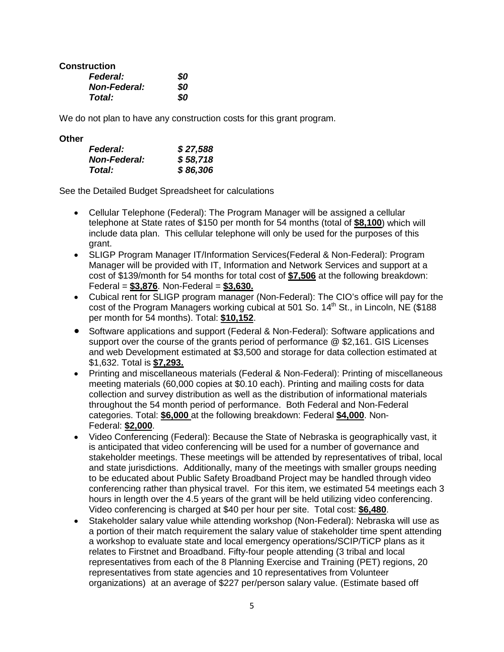**Construction**

| <b>Federal:</b>     | 80 |
|---------------------|----|
| <b>Non-Federal:</b> | 80 |
| Total:              | 80 |

We do not plan to have any construction costs for this grant program.

# **Other**

| <b>Federal:</b>     | \$27,588 |
|---------------------|----------|
| <b>Non-Federal:</b> | \$58,718 |
| Total:              | \$86,306 |

- Cellular Telephone (Federal): The Program Manager will be assigned a cellular telephone at State rates of \$150 per month for 54 months (total of **\$8,100**) which will include data plan. This cellular telephone will only be used for the purposes of this grant.
- SLIGP Program Manager IT/Information Services(Federal & Non-Federal): Program Manager will be provided with IT, Information and Network Services and support at a cost of \$139/month for 54 months for total cost of **\$7,506** at the following breakdown: Federal = **\$3,876**. Non-Federal = **\$3,630.**
- Cubical rent for SLIGP program manager (Non-Federal): The CIO's office will pay for the cost of the Program Managers working cubical at 501 So.  $14<sup>th</sup>$  St., in Lincoln, NE (\$188) per month for 54 months). Total: **\$10,152**.
- Software applications and support (Federal & Non-Federal): Software applications and support over the course of the grants period of performance @ \$2,161. GIS Licenses and web Development estimated at \$3,500 and storage for data collection estimated at \$1,632. Total is **\$7,293.**
- Printing and miscellaneous materials (Federal & Non-Federal): Printing of miscellaneous meeting materials (60,000 copies at \$0.10 each). Printing and mailing costs for data collection and survey distribution as well as the distribution of informational materials throughout the 54 month period of performance. Both Federal and Non-Federal categories. Total: **\$6,000** at the following breakdown: Federal **\$4,000**. Non-Federal: **\$2,000**.
- Video Conferencing (Federal): Because the State of Nebraska is geographically vast, it is anticipated that video conferencing will be used for a number of governance and stakeholder meetings. These meetings will be attended by representatives of tribal, local and state jurisdictions. Additionally, many of the meetings with smaller groups needing to be educated about Public Safety Broadband Project may be handled through video conferencing rather than physical travel. For this item, we estimated 54 meetings each 3 hours in length over the 4.5 years of the grant will be held utilizing video conferencing. Video conferencing is charged at \$40 per hour per site. Total cost: **\$6,480**.
- Stakeholder salary value while attending workshop (Non-Federal): Nebraska will use as a portion of their match requirement the salary value of stakeholder time spent attending a workshop to evaluate state and local emergency operations/SCIP/TiCP plans as it relates to Firstnet and Broadband. Fifty-four people attending (3 tribal and local representatives from each of the 8 Planning Exercise and Training (PET) regions, 20 representatives from state agencies and 10 representatives from Volunteer organizations) at an average of \$227 per/person salary value. (Estimate based off